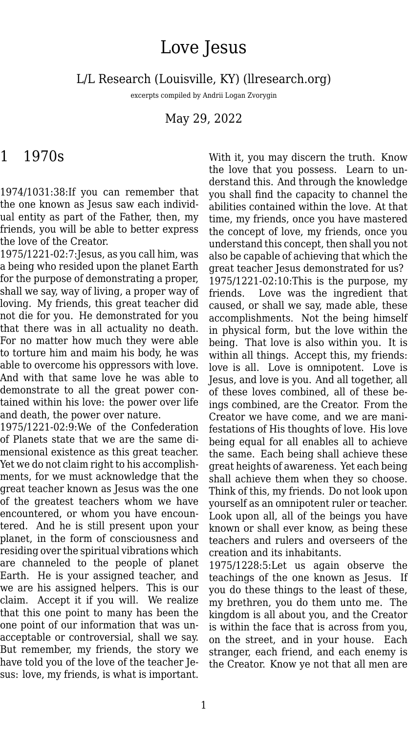## Love Jesus

L/L Research (Louisville, KY) (llresearch.org)

excerpts compiled by Andrii Logan Zvorygin

May 29, 2022

## 1 1970s

1974/1031:38:If you can remember that the one known as Jesus saw each individual entity as part of the Father, then, my friends, you will be able to better express the love of the Creator.

1975/1221-02:7:Jesus, as you call him, was a being who resided upon the planet Earth for the purpose of demonstrating a proper, shall we say, way of living, a proper way of loving. My friends, this great teacher did not die for you. He demonstrated for you that there was in all actuality no death. For no matter how much they were able to torture him and maim his body, he was able to overcome his oppressors with love. And with that same love he was able to demonstrate to all the great power contained within his love: the power over life and death, the power over nature.

1975/1221-02:9:We of the Confederation of Planets state that we are the same dimensional existence as this great teacher. Yet we do not claim right to his accomplishments, for we must acknowledge that the great teacher known as Jesus was the one of the greatest teachers whom we have encountered, or whom you have encountered. And he is still present upon your planet, in the form of consciousness and residing over the spiritual vibrations which are channeled to the people of planet Earth. He is your assigned teacher, and we are his assigned helpers. This is our claim. Accept it if you will. We realize that this one point to many has been the one point of our information that was unacceptable or controversial, shall we say. But remember, my friends, the story we have told you of the love of the teacher Jesus: love, my friends, is what is important.

With it, you may discern the truth. Know the love that you possess. Learn to understand this. And through the knowledge you shall find the capacity to channel the abilities contained within the love. At that time, my friends, once you have mastered the concept of love, my friends, once you understand this concept, then shall you not also be capable of achieving that which the great teacher Jesus demonstrated for us? 1975/1221-02:10:This is the purpose, my friends. Love was the ingredient that caused, or shall we say, made able, these accomplishments. Not the being himself in physical form, but the love within the being. That love is also within you. It is within all things. Accept this, my friends: love is all. Love is omnipotent. Love is Jesus, and love is you. And all together, all of these loves combined, all of these beings combined, are the Creator. From the Creator we have come, and we are manifestations of His thoughts of love. His love being equal for all enables all to achieve the same. Each being shall achieve these great heights of awareness. Yet each being shall achieve them when they so choose. Think of this, my friends. Do not look upon yourself as an omnipotent ruler or teacher. Look upon all, all of the beings you have known or shall ever know, as being these teachers and rulers and overseers of the creation and its inhabitants.

1975/1228:5:Let us again observe the teachings of the one known as Jesus. If you do these things to the least of these, my brethren, you do them unto me. The kingdom is all about you, and the Creator is within the face that is across from you, on the street, and in your house. Each stranger, each friend, and each enemy is the Creator. Know ye not that all men are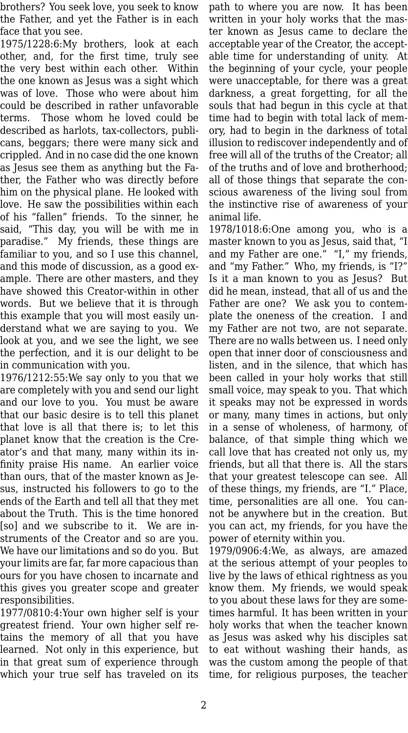brothers? You seek love, you seek to know the Father, and yet the Father is in each face that you see.

1975/1228:6:My brothers, look at each other, and, for the first time, truly see the very best within each other. Within the one known as Jesus was a sight which was of love. Those who were about him could be described in rather unfavorable terms. Those whom he loved could be described as harlots, tax-collectors, publicans, beggars; there were many sick and crippled. And in no case did the one known as Jesus see them as anything but the Father, the Father who was directly before him on the physical plane. He looked with love. He saw the possibilities within each of his "fallen" friends. To the sinner, he said, "This day, you will be with me in paradise." My friends, these things are familiar to you, and so I use this channel, and this mode of discussion, as a good example. There are other masters, and they have showed this Creator-within in other words. But we believe that it is through this example that you will most easily understand what we are saying to you. We look at you, and we see the light, we see the perfection, and it is our delight to be in communication with you.

1976/1212:55:We say only to you that we are completely with you and send our light and our love to you. You must be aware that our basic desire is to tell this planet that love is all that there is; to let this planet know that the creation is the Creator's and that many, many within its infinity praise His name. An earlier voice than ours, that of the master known as Jesus, instructed his followers to go to the ends of the Earth and tell all that they met about the Truth. This is the time honored [so] and we subscribe to it. We are instruments of the Creator and so are you. We have our limitations and so do you. But your limits are far, far more capacious than ours for you have chosen to incarnate and this gives you greater scope and greater responsibilities.

1977/0810:4:Your own higher self is your greatest friend. Your own higher self retains the memory of all that you have learned. Not only in this experience, but in that great sum of experience through which your true self has traveled on its

path to where you are now. It has been written in your holy works that the master known as Jesus came to declare the acceptable year of the Creator, the acceptable time for understanding of unity. At the beginning of your cycle, your people were unacceptable, for there was a great darkness, a great forgetting, for all the souls that had begun in this cycle at that time had to begin with total lack of memory, had to begin in the darkness of total illusion to rediscover independently and of free will all of the truths of the Creator; all of the truths and of love and brotherhood; all of those things that separate the conscious awareness of the living soul from the instinctive rise of awareness of your animal life.

1978/1018:6:One among you, who is a master known to you as Jesus, said that, "I and my Father are one." "I," my friends, and "my Father." Who, my friends, is "I?" Is it a man known to you as Jesus? But did he mean, instead, that all of us and the Father are one? We ask you to contemplate the oneness of the creation. I and my Father are not two, are not separate. There are no walls between us. I need only open that inner door of consciousness and listen, and in the silence, that which has been called in your holy works that still small voice, may speak to you. That which it speaks may not be expressed in words or many, many times in actions, but only in a sense of wholeness, of harmony, of balance, of that simple thing which we call love that has created not only us, my friends, but all that there is. All the stars that your greatest telescope can see. All of these things, my friends, are "I." Place, time, personalities are all one. You cannot be anywhere but in the creation. But you can act, my friends, for you have the power of eternity within you.

1979/0906:4:We, as always, are amazed at the serious attempt of your peoples to live by the laws of ethical rightness as you know them. My friends, we would speak to you about these laws for they are sometimes harmful. It has been written in your holy works that when the teacher known as Jesus was asked why his disciples sat to eat without washing their hands, as was the custom among the people of that time, for religious purposes, the teacher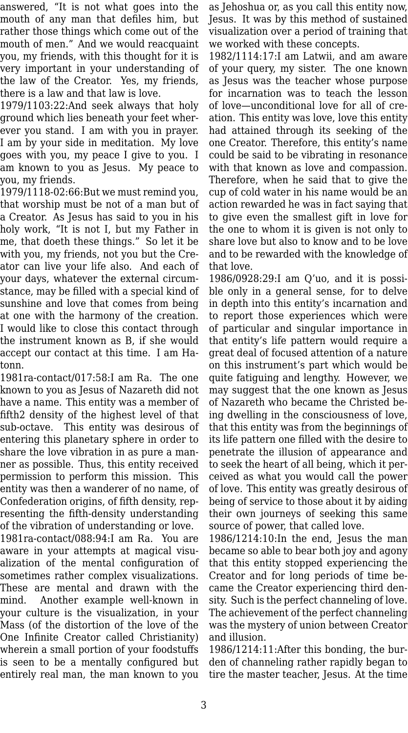answered, "It is not what goes into the mouth of any man that defiles him, but rather those things which come out of the mouth of men." And we would reacquaint you, my friends, with this thought for it is very important in your understanding of the law of the Creator. Yes, my friends, there is a law and that law is love.

1979/1103:22:And seek always that holy ground which lies beneath your feet wherever you stand. I am with you in prayer. I am by your side in meditation. My love goes with you, my peace I give to you. I am known to you as Jesus. My peace to you, my friends.

1979/1118-02:66:But we must remind you, that worship must be not of a man but of a Creator. As Jesus has said to you in his holy work, "It is not I, but my Father in me, that doeth these things." So let it be with you, my friends, not you but the Creator can live your life also. And each of your days, whatever the external circumstance, may be filled with a special kind of sunshine and love that comes from being at one with the harmony of the creation. I would like to close this contact through the instrument known as B, if she would accept our contact at this time. I am Hatonn.

1981ra-contact/017:58:I am Ra. The one known to you as Jesus of Nazareth did not have a name. This entity was a member of fifth2 density of the highest level of that sub-octave. This entity was desirous of entering this planetary sphere in order to share the love vibration in as pure a manner as possible. Thus, this entity received permission to perform this mission. This entity was then a wanderer of no name, of Confederation origins, of fifth density, representing the fifth-density understanding of the vibration of understanding or love.

1981ra-contact/088:94:I am Ra. You are aware in your attempts at magical visualization of the mental configuration of sometimes rather complex visualizations. These are mental and drawn with the mind. Another example well-known in your culture is the visualization, in your Mass (of the distortion of the love of the One Infinite Creator called Christianity) wherein a small portion of your foodstuffs is seen to be a mentally configured but entirely real man, the man known to you

as Jehoshua or, as you call this entity now, Jesus. It was by this method of sustained visualization over a period of training that we worked with these concepts.

1982/1114:17:I am Latwii, and am aware of your query, my sister. The one known as Jesus was the teacher whose purpose for incarnation was to teach the lesson of love—unconditional love for all of creation. This entity was love, love this entity had attained through its seeking of the one Creator. Therefore, this entity's name could be said to be vibrating in resonance with that known as love and compassion. Therefore, when he said that to give the cup of cold water in his name would be an action rewarded he was in fact saying that to give even the smallest gift in love for the one to whom it is given is not only to share love but also to know and to be love and to be rewarded with the knowledge of that love.

1986/0928:29:I am Q'uo, and it is possible only in a general sense, for to delve in depth into this entity's incarnation and to report those experiences which were of particular and singular importance in that entity's life pattern would require a great deal of focused attention of a nature on this instrument's part which would be quite fatiguing and lengthy. However, we may suggest that the one known as Jesus of Nazareth who became the Christed being dwelling in the consciousness of love, that this entity was from the beginnings of its life pattern one filled with the desire to penetrate the illusion of appearance and to seek the heart of all being, which it perceived as what you would call the power of love. This entity was greatly desirous of being of service to those about it by aiding their own journeys of seeking this same source of power, that called love.

1986/1214:10:In the end, Jesus the man became so able to bear both joy and agony that this entity stopped experiencing the Creator and for long periods of time became the Creator experiencing third density. Such is the perfect channeling of love. The achievement of the perfect channeling was the mystery of union between Creator and illusion.

1986/1214:11:After this bonding, the burden of channeling rather rapidly began to tire the master teacher, Jesus. At the time